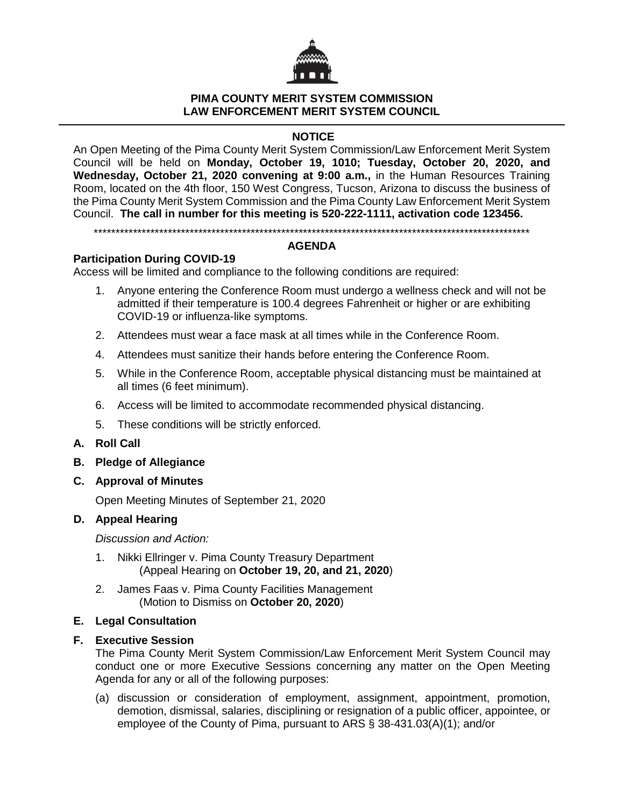

### **PIMA COUNTY MERIT SYSTEM COMMISSION LAW ENFORCEMENT MERIT SYSTEM COUNCIL**

# **NOTICE**

An Open Meeting of the Pima County Merit System Commission/Law Enforcement Merit System Council will be held on **Monday, October 19, 1010; Tuesday, October 20, 2020, and Wednesday, October 21, 2020 convening at 9:00 a.m.,** in the Human Resources Training Room, located on the 4th floor, 150 West Congress, Tucson, Arizona to discuss the business of the Pima County Merit System Commission and the Pima County Law Enforcement Merit System Council. **The call in number for this meeting is 520-222-1111, activation code 123456.**

\*\*\*\*\*\*\*\*\*\*\*\*\*\*\*\*\*\*\*\*\*\*\*\*\*\*\*\*\*\*\*\*\*\*\*\*\*\*\*\*\*\*\*\*\*\*\*\*\*\*\*\*\*\*\*\*\*\*\*\*\*\*\*\*\*\*\*\*\*\*\*\*\*\*\*\*\*\*\*\*\*\*\*\*\*\*\*\*\*\*\*\*\*\*\*\*\*\*\*\*

## **AGENDA**

## **Participation During COVID-19**

Access will be limited and compliance to the following conditions are required:

- 1. Anyone entering the Conference Room must undergo a wellness check and will not be admitted if their temperature is 100.4 degrees Fahrenheit or higher or are exhibiting COVID-19 or influenza-like symptoms.
- 2. Attendees must wear a face mask at all times while in the Conference Room.
- 4. Attendees must sanitize their hands before entering the Conference Room.
- 5. While in the Conference Room, acceptable physical distancing must be maintained at all times (6 feet minimum).
- 6. Access will be limited to accommodate recommended physical distancing.
- 5. These conditions will be strictly enforced.
- **A. Roll Call**
- **B. Pledge of Allegiance**
- **C. Approval of Minutes**

Open Meeting Minutes of September 21, 2020

## **D. Appeal Hearing**

*Discussion and Action:* 

- 1. Nikki Ellringer v. Pima County Treasury Department (Appeal Hearing on **October 19, 20, and 21, 2020**)
- 2. James Faas v. Pima County Facilities Management (Motion to Dismiss on **October 20, 2020**)

## **E. Legal Consultation**

#### **F. Executive Session**

The Pima County Merit System Commission/Law Enforcement Merit System Council may conduct one or more Executive Sessions concerning any matter on the Open Meeting Agenda for any or all of the following purposes:

(a) discussion or consideration of employment, assignment, appointment, promotion, demotion, dismissal, salaries, disciplining or resignation of a public officer, appointee, or employee of the County of Pima, pursuant to ARS § 38-431.03(A)(1); and/or